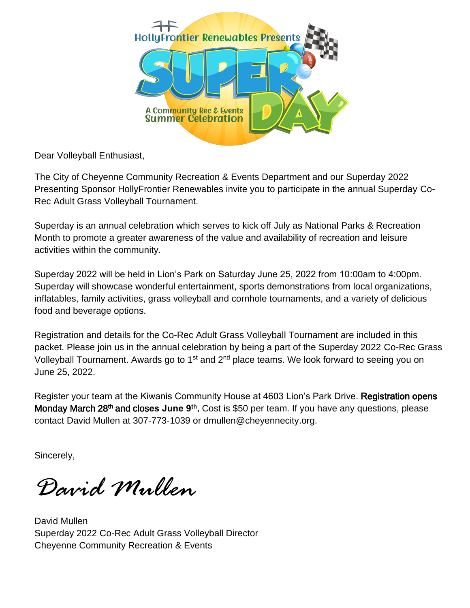

Dear Volleyball Enthusiast,

The City of Cheyenne Community Recreation & Events Department and our Superday 2022 Presenting Sponsor HollyFrontier Renewables invite you to participate in the annual Superday Co-Rec Adult Grass Volleyball Tournament.

Superday is an annual celebration which serves to kick off July as National Parks & Recreation Month to promote a greater awareness of the value and availability of recreation and leisure activities within the community.

Superday 2022 will be held in Lion's Park on Saturday June 25, 2022 from 10:00am to 4:00pm. Superday will showcase wonderful entertainment, sports demonstrations from local organizations, inflatables, family activities, grass volleyball and cornhole tournaments, and a variety of delicious food and beverage options.

Registration and details for the Co-Rec Adult Grass Volleyball Tournament are included in this packet. Please join us in the annual celebration by being a part of the Superday 2022 Co-Rec Grass Volleyball Tournament. Awards go to 1<sup>st</sup> and 2<sup>nd</sup> place teams. We look forward to seeing you on June 25, 2022.

Register your team at the Kiwanis Community House at 4603 Lion's Park Drive. Registration opens Monday March 28<sup>th</sup> and closes June 9<sup>th</sup>. Cost is \$50 per team. If you have any questions, please contact David Mullen at 307-773-1039 or dmullen@cheyennecity.org.

Sincerely,

*David Mullen* 

David Mullen Superday 2022 Co-Rec Adult Grass Volleyball Director Cheyenne Community Recreation & Events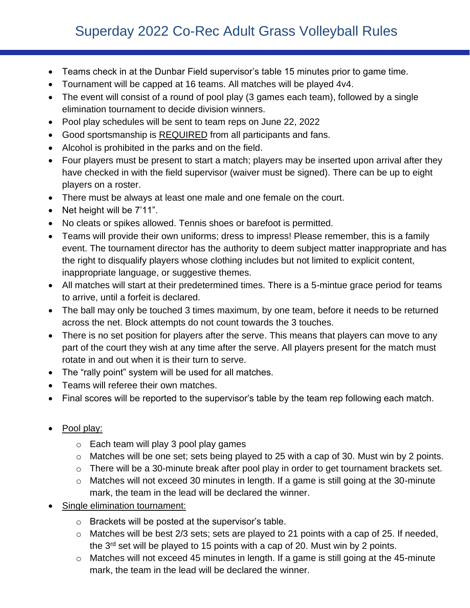## Superday 2022 Co-Rec Adult Grass Volleyball Rules

- Teams check in at the Dunbar Field supervisor's table 15 minutes prior to game time.
- Tournament will be capped at 16 teams. All matches will be played 4v4.
- The event will consist of a round of pool play (3 games each team), followed by a single elimination tournament to decide division winners.
- Pool play schedules will be sent to team reps on June 22, 2022
- Good sportsmanship is REQUIRED from all participants and fans.
- Alcohol is prohibited in the parks and on the field.
- Four players must be present to start a match; players may be inserted upon arrival after they have checked in with the field supervisor (waiver must be signed). There can be up to eight players on a roster.
- There must be always at least one male and one female on the court.
- Net height will be 7'11".
- No cleats or spikes allowed. Tennis shoes or barefoot is permitted.
- Teams will provide their own uniforms; dress to impress! Please remember, this is a family event. The tournament director has the authority to deem subject matter inappropriate and has the right to disqualify players whose clothing includes but not limited to explicit content, inappropriate language, or suggestive themes.
- All matches will start at their predetermined times. There is a 5-mintue grace period for teams to arrive, until a forfeit is declared.
- The ball may only be touched 3 times maximum, by one team, before it needs to be returned across the net. Block attempts do not count towards the 3 touches.
- There is no set position for players after the serve. This means that players can move to any part of the court they wish at any time after the serve. All players present for the match must rotate in and out when it is their turn to serve.
- The "rally point" system will be used for all matches.
- Teams will referee their own matches.
- Final scores will be reported to the supervisor's table by the team rep following each match.
- Pool play:
	- o Each team will play 3 pool play games
	- o Matches will be one set; sets being played to 25 with a cap of 30. Must win by 2 points.
	- o There will be a 30-minute break after pool play in order to get tournament brackets set.
	- o Matches will not exceed 30 minutes in length. If a game is still going at the 30-minute mark, the team in the lead will be declared the winner.
- Single elimination tournament:
	- o Brackets will be posted at the supervisor's table.
	- o Matches will be best 2/3 sets; sets are played to 21 points with a cap of 25. If needed, the 3rd set will be played to 15 points with a cap of 20. Must win by 2 points.
	- o Matches will not exceed 45 minutes in length. If a game is still going at the 45-minute mark, the team in the lead will be declared the winner.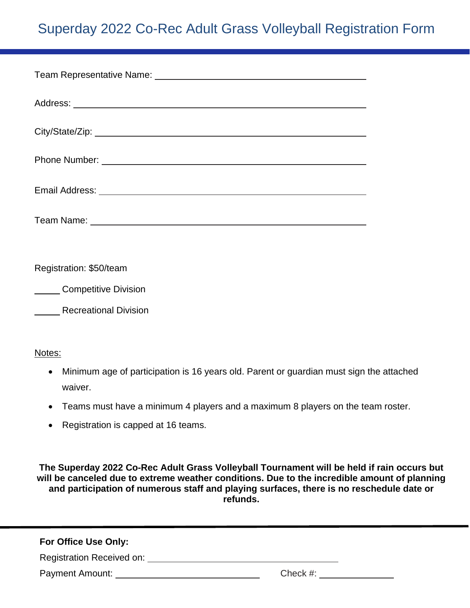# Superday 2022 Co-Rec Adult Grass Volleyball Registration Form

Registration: \$50/team

**Competitive Division** 

**Recreational Division** 

#### Notes:

- Minimum age of participation is 16 years old. Parent or guardian must sign the attached waiver.
- Teams must have a minimum 4 players and a maximum 8 players on the team roster.
- Registration is capped at 16 teams.

**The Superday 2022 Co-Rec Adult Grass Volleyball Tournament will be held if rain occurs but will be canceled due to extreme weather conditions. Due to the incredible amount of planning and participation of numerous staff and playing surfaces, there is no reschedule date or refunds.**

#### **For Office Use Only:**

**Registration Received on:** *CONDERENT CONDERENT REGISTERS ON A REGISTER DISCRUSSION CONDERENT CONDERENT CONDERENT CONDERED A CONDERED CONDERED A CONDER CONDER CONDER CONDER CONDER CONDER CONDER CONDER CONDER CONDER CONDE* 

Payment Amount: Check #: